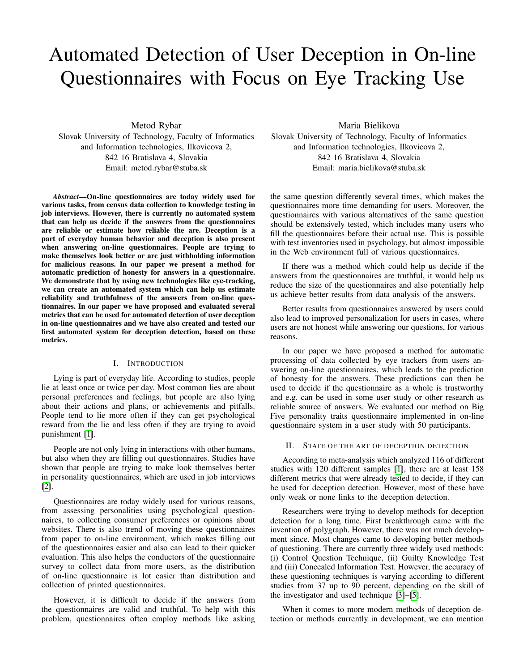# Automated Detection of User Deception in On-line Questionnaires with Focus on Eye Tracking Use

Metod Rybar Slovak University of Technology, Faculty of Informatics and Information technologies, Ilkovicova 2, 842 16 Bratislava 4, Slovakia Email: metod.rybar@stuba.sk

*Abstract*—On-line questionnaires are today widely used for various tasks, from census data collection to knowledge testing in job interviews. However, there is currently no automated system that can help us decide if the answers from the questionnaires are reliable or estimate how reliable the are. Deception is a part of everyday human behavior and deception is also present when answering on-line questionnaires. People are trying to make themselves look better or are just withholding information for malicious reasons. In our paper we present a method for automatic prediction of honesty for answers in a questionnaire. We demonstrate that by using new technologies like eye-tracking, we can create an automated system which can help us estimate reliability and truthfulness of the answers from on-line questionnaires. In our paper we have proposed and evaluated several metrics that can be used for automated detection of user deception in on-line questionnaires and we have also created and tested our first automated system for deception detection, based on these metrics.

## I. INTRODUCTION

Lying is part of everyday life. According to studies, people lie at least once or twice per day. Most common lies are about personal preferences and feelings, but people are also lying about their actions and plans, or achievements and pitfalls. People tend to lie more often if they can get psychological reward from the lie and less often if they are trying to avoid punishment [\[1\]](#page-4-0).

People are not only lying in interactions with other humans, but also when they are filling out questionnaires. Studies have shown that people are trying to make look themselves better in personality questionnaires, which are used in job interviews [\[2\]](#page-4-1).

Questionnaires are today widely used for various reasons, from assessing personalities using psychological questionnaires, to collecting consumer preferences or opinions about websites. There is also trend of moving these questionnaires from paper to on-line environment, which makes filling out of the questionnaires easier and also can lead to their quicker evaluation. This also helps the conductors of the questionnaire survey to collect data from more users, as the distribution of on-line questionnaire is lot easier than distribution and collection of printed questionnaires.

However, it is difficult to decide if the answers from the questionnaires are valid and truthful. To help with this problem, questionnaires often employ methods like asking

Maria Bielikova Slovak University of Technology, Faculty of Informatics and Information technologies, Ilkovicova 2, 842 16 Bratislava 4, Slovakia Email: maria.bielikova@stuba.sk

the same question differently several times, which makes the questionnaires more time demanding for users. Moreover, the questionnaires with various alternatives of the same question should be extensively tested, which includes many users who fill the questionnaires before their actual use. This is possible with test inventories used in psychology, but almost impossible in the Web environment full of various questionnaires.

If there was a method which could help us decide if the answers from the questionnaires are truthful, it would help us reduce the size of the questionnaires and also potentially help us achieve better results from data analysis of the answers.

Better results from questionnaires answered by users could also lead to improved personalization for users in cases, where users are not honest while answering our questions, for various reasons.

In our paper we have proposed a method for automatic processing of data collected by eye trackers from users answering on-line questionnaires, which leads to the prediction of honesty for the answers. These predictions can then be used to decide if the questionnaire as a whole is trustworthy and e.g. can be used in some user study or other research as reliable source of answers. We evaluated our method on Big Five personality traits questionnaire implemented in on-line questionnaire system in a user study with 50 participants.

### II. STATE OF THE ART OF DECEPTION DETECTION

According to meta-analysis which analyzed 116 of different studies with 120 different samples [\[1\]](#page-4-0), there are at least 158 different metrics that were already tested to decide, if they can be used for deception detection. However, most of these have only weak or none links to the deception detection.

Researchers were trying to develop methods for deception detection for a long time. First breakthrough came with the invention of polygraph. However, there was not much development since. Most changes came to developing better methods of questioning. There are currently three widely used methods: (i) Control Question Technique, (ii) Guilty Knowledge Test and (iii) Concealed Information Test. However, the accuracy of these questioning techniques is varying according to different studies from 37 up to 90 percent, depending on the skill of the investigator and used technique [\[3\]](#page-4-2)–[\[5\]](#page-4-3).

When it comes to more modern methods of deception detection or methods currently in development, we can mention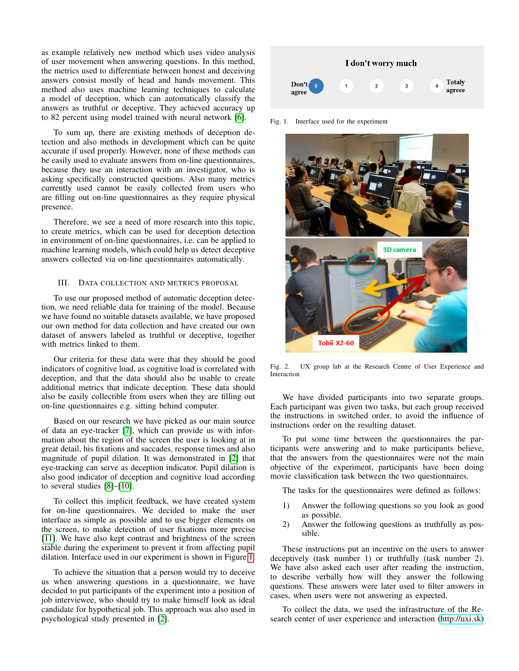as example relatively new method which uses video analysis of user movement when answering questions. In this method, the metrics used to differentiate between honest and deceiving answers consist mostly of head and hands movement. This method also uses machine learning techniques to calculate a model of deception, which can automatically classify the answers as truthful or deceptive. They achieved accuracy up to 82 percent using model trained with neural network [\[6\]](#page-4-4).

To sum up, there are existing methods of deception detection and also methods in development which can be quite accurate if used properly. However, none of these methods can be easily used to evaluate answers from on-line questionnaires, because they use an interaction with an investigator, who is asking specifically constructed questions. Also many metrics currently used cannot be easily collected from users who are filling out on-line questionnaires as they require physical presence.

Therefore, we see a need of more research into this topic, to create metrics, which can be used for deception detection in environment of on-line questionnaires, i.e. can be applied to machine learning models, which could help us detect deceptive answers collected via on-line questionnaires automatically.

## III. DATA COLLECTION AND METRICS PROPOSAL

To use our proposed method of automatic deception detection, we need reliable data for training of the model. Because we have found no suitable datasets available, we have proposed our own method for data collection and have created our own dataset of answers labeled as truthful or deceptive, together with metrics linked to them.

Our criteria for these data were that they should be good indicators of cognitive load, as cognitive load is correlated with deception, and that the data should also be usable to create additional metrics that indicate deception. These data should also be easily collectible from users when they are filling out on-line questionnaires e.g. sitting behind computer.

Based on our research we have picked as our main source of data an eye-tracker [\[7\]](#page-4-5), which can provide us with information about the region of the screen the user is looking at in great detail, his fixations and saccades, response times and also magnitude of pupil dilation. It was demonstrated in [\[2\]](#page-4-1) that eye-tracking can serve as deception indicator. Pupil dilation is also good indicator of deception and cognitive load according to several studies [\[8\]](#page-4-6)–[\[10\]](#page-4-7).

To collect this implicit feedback, we have created system for on-line questionnaires. We decided to make the user interface as simple as possible and to use bigger elements on the screen, to make detection of user fixations more precise [\[11\]](#page-4-8). We have also kept contrast and brightness of the screen stable during the experiment to prevent it from affecting pupil dilation. Interface used in our experiment is shown in Figure [1.](#page-1-0)

To achieve the situation that a person would try to deceive us when answering questions in a questionnaire, we have decided to put participants of the experiment into a position of job interviewee, who should try to make himself look as ideal candidate for hypothetical job. This approach was also used in psychological study presented in [\[2\]](#page-4-1).



<span id="page-1-0"></span>Fig. 1. Interface used for the experiment



Fig. 2. UX group lab at the Research Centre of User Experience and Interaction

<span id="page-1-1"></span>We have divided participants into two separate groups. Each participant was given two tasks, but each group received the instructions in switched order, to avoid the influence of instructions order on the resulting dataset.

To put some time between the questionnaires the participants were answering and to make participants believe, that the answers from the questionnaires were not the main objective of the experiment, participants have been doing movie classification task between the two questionnaires.

The tasks for the questionnaires were defined as follows:

- 1) Answer the following questions so you look as good as possible.
- 2) Answer the following questions as truthfully as possible.

These instructions put an incentive on the users to answer deceptively (task number 1) or truthfully (task number 2). We have also asked each user after reading the instruction, to describe verbally how will they answer the following questions. These answers were later used to filter answers in cases, when users were not answering as expected.

To collect the data, we used the infrastructure of the Research center of user experience and interaction [\(http://uxi.sk\)](http://uxi.sk)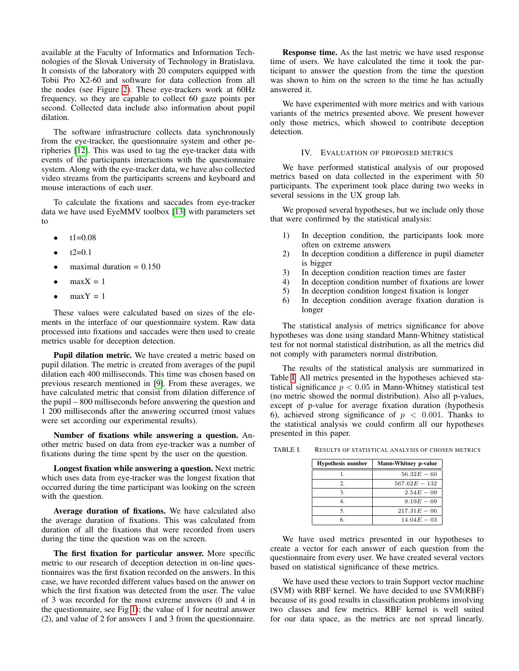available at the Faculty of Informatics and Information Technologies of the Slovak University of Technology in Bratislava. It consists of the laboratory with 20 computers equipped with Tobii Pro X2-60 and software for data collection from all the nodes (see Figure [2\)](#page-1-1). These eye-trackers work at 60Hz frequency, so they are capable to collect 60 gaze points per second. Collected data include also information about pupil dilation.

The software infrastructure collects data synchronously from the eye-tracker, the questionnaire system and other peripheries [\[12\]](#page-4-9). This was used to tag the eye-tracker data with events of the participants interactions with the questionnaire system. Along with the eye-tracker data, we have also collected video streams from the participants screens and keyboard and mouse interactions of each user.

To calculate the fixations and saccades from eye-tracker data we have used EyeMMV toolbox [\[13\]](#page-4-10) with parameters set to

- $t1=0.08$
- $t2=0.1$
- maximal duration  $= 0.150$
- $maxX = 1$
- $maxY = 1$

These values were calculated based on sizes of the elements in the interface of our questionnaire system. Raw data processed into fixations and saccades were then used to create metrics usable for deception detection.

Pupil dilation metric. We have created a metric based on pupil dilation. The metric is created from averages of the pupil dilation each 400 milliseconds. This time was chosen based on previous research mentioned in [\[9\]](#page-4-11). From these averages, we have calculated metric that consist from dilation difference of the pupil – 800 milliseconds before answering the question and 1 200 milliseconds after the answering occurred (most values were set according our experimental results).

Number of fixations while answering a question. Another metric based on data from eye-tracker was a number of fixations during the time spent by the user on the question.

Longest fixation while answering a question. Next metric which uses data from eye-tracker was the longest fixation that occurred during the time participant was looking on the screen with the question.

Average duration of fixations. We have calculated also the average duration of fixations. This was calculated from duration of all the fixations that were recorded from users during the time the question was on the screen.

The first fixation for particular answer. More specific metric to our research of deception detection in on-line questionnaires was the first fixation recorded on the answers. In this case, we have recorded different values based on the answer on which the first fixation was detected from the user. The value of 3 was recorded for the most extreme answers (0 and 4 in the questionnaire, see Fig [1\)](#page-1-0); the value of 1 for neutral answer (2), and value of 2 for answers 1 and 3 from the questionnaire.

Response time. As the last metric we have used response time of users. We have calculated the time it took the participant to answer the question from the time the question was shown to him on the screen to the time he has actually answered it.

We have experimented with more metrics and with various variants of the metrics presented above. We present however only those metrics, which showed to contribute deception detection.

#### IV. EVALUATION OF PROPOSED METRICS

We have performed statistical analysis of our proposed metrics based on data collected in the experiment with 50 participants. The experiment took place during two weeks in several sessions in the UX group lab.

We proposed several hypotheses, but we include only those that were confirmed by the statistical analysis:

- 1) In deception condition, the participants look more often on extreme answers
- 2) In deception condition a difference in pupil diameter is bigger
- 3) In deception condition reaction times are faster
- 4) In deception condition number of fixations are lower<br>5) In deception condition longest fixation is longer
- 5) In deception condition longest fixation is longer
- 6) In deception condition average fixation duration is longer

The statistical analysis of metrics significance for above hypotheses was done using standard Mann-Whitney statistical test for not normal statistical distribution, as all the metrics did not comply with parameters normal distribution.

The results of the statistical analysis are summarized in Table [I.](#page-2-0) All metrics presented in the hypotheses achieved statistical significance  $p < 0.05$  in Mann-Whitney statistical test (no metric showed the normal distribution). Also all p-values, except of p-value for average fixation duration (hypothesis 6), achieved strong significance of  $p < 0.001$ . Thanks to the statistical analysis we could confirm all our hypotheses presented in this paper.

TABLE I. RESULTS OF STATISTICAL ANALYSIS OF CHOSEN METRICS

<span id="page-2-0"></span>

| <b>Hypothesis number</b> | <b>Mann-Whitney p-value</b> |  |
|--------------------------|-----------------------------|--|
|                          | $56.32E - 60$               |  |
| $2^{\circ}$              | $567.62E - 132$             |  |
| 3                        | $2.54E - 09$                |  |
|                          | $9.19E - 0.9$               |  |
|                          | $217.31E - 06$              |  |
|                          | $14.04E - 03$               |  |

We have used metrics presented in our hypotheses to create a vector for each answer of each question from the questionnaire from every user. We have created several vectors based on statistical significance of these metrics.

We have used these vectors to train Support vector machine (SVM) with RBF kernel. We have decided to use SVM(RBF) because of its good results in classification problems involving two classes and few metrics. RBF kernel is well suited for our data space, as the metrics are not spread linearly.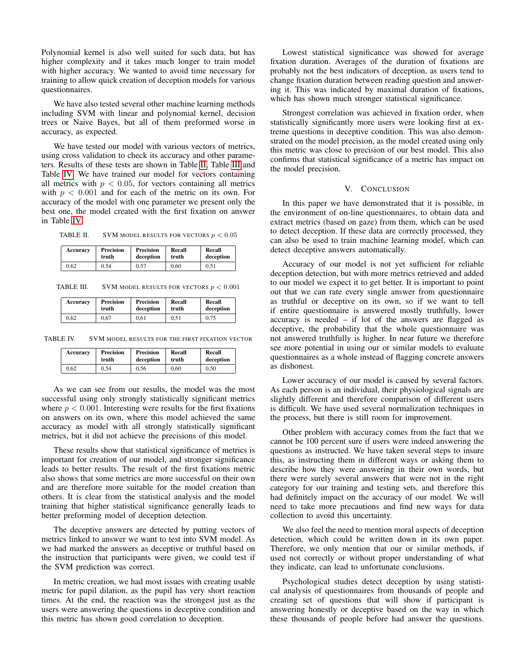Polynomial kernel is also well suited for such data, but has higher complexity and it takes much longer to train model with higher accuracy. We wanted to avoid time necessary for training to allow quick creation of deception models for various questionnaires.

We have also tested several other machine learning methods including SVM with linear and polynomial kernel, decision trees or Naive Bayes, but all of them preformed worse in accuracy, as expected.

We have tested our model with various vectors of metrics, using cross validation to check its accuracy and other parameters. Results of these tests are shown in Table [II,](#page-3-0) Table [III](#page-3-1) and Table [IV.](#page-3-2) We have trained our model for vectors containing all metrics with  $p < 0.05$ , for vectors containing all metrics with  $p < 0.001$  and for each of the metric on its own. For accuracy of the model with one parameter we present only the best one, the model created with the first fixation on answer in Table [IV.](#page-3-2)

TABLE II. SVM MODEL RESULTS FOR VECTORS  $p < 0.05$ 

<span id="page-3-0"></span>

| Accuracy | Precision | Precision | Recall | Recall    |
|----------|-----------|-----------|--------|-----------|
|          | truth     | deception | truth  | deception |
| 0.62     | 0.54      | 0.57      | 0.60   | 0.51      |

TABLE III. SVM MODEL RESULTS FOR VECTORS  $p < 0.001$ 

<span id="page-3-1"></span>

| Accuracy | Precision | Precision | Recall | Recall    |
|----------|-----------|-----------|--------|-----------|
|          | truth     | deception | truth  | deception |
| 0.62     | 0.67      | 0.61      | 0.51   | 0.75      |

TABLE IV. SVM MODEL RESULTS FOR THE FIRST FIXATION VECTOR

<span id="page-3-2"></span>

| Accuracy | Precision | Precision | Recall | Recall    |
|----------|-----------|-----------|--------|-----------|
|          | truth     | deception | truth  | deception |
| 0.62     | 0.54      | 0.56      | 0.60   | 0.50      |

As we can see from our results, the model was the most successful using only strongly statistically significant metrics where  $p < 0.001$ . Interesting were results for the first fixations on answers on its own, where this model achieved the same accuracy as model with all strongly statistically significant metrics, but it did not achieve the precisions of this model.

These results show that statistical significance of metrics is important for creation of our model, and stronger significance leads to better results. The result of the first fixations metric also shows that some metrics are more successful on their own and are therefore more suitable for the model creation than others. It is clear from the statistical analysis and the model training that higher statistical significance generally leads to better preforming model of deception detection.

The deceptive answers are detected by putting vectors of metrics linked to answer we want to test into SVM model. As we had marked the answers as deceptive or truthful based on the instruction that participants were given, we could test if the SVM prediction was correct.

In metric creation, we had most issues with creating usable metric for pupil dilation, as the pupil has very short reaction times. At the end, the reaction was the strongest just as the users were answering the questions in deceptive condition and this metric has shown good correlation to deception.

Lowest statistical significance was showed for average fixation duration. Averages of the duration of fixations are probably not the best indicators of deception, as users tend to change fixation duration between reading question and answering it. This was indicated by maximal duration of fixations, which has shown much stronger statistical significance.

Strongest correlation was achieved in fixation order, when statistically significantly more users were looking first at extreme questions in deceptive condition. This was also demonstrated on the model precision, as the model created using only this metric was close to precision of our best model. This also confirms that statistical significance of a metric has impact on the model precision.

#### V. CONCLUSION

In this paper we have demonstrated that it is possible, in the environment of on-line questionnaires, to obtain data and extract metrics (based on gaze) from them, which can be used to detect deception. If these data are correctly processed, they can also be used to train machine learning model, which can detect deceptive answers automatically.

Accuracy of our model is not yet sufficient for reliable deception detection, but with more metrics retrieved and added to our model we expect it to get better. It is important to point out that we can rate every single answer from questionnaire as truthful or deceptive on its own, so if we want to tell if entire questionnaire is answered mostly truthfully, lower accuracy is needed – if lot of the answers are flagged as deceptive, the probability that the whole questionnaire was not answered truthfully is higher. In near future we therefore see more potential in using our or similar models to evaluate questionnaires as a whole instead of flagging concrete answers as dishonest.

Lower accuracy of our model is caused by several factors. As each person is an individual, their physiological signals are slightly different and therefore comparison of different users is difficult. We have used several normalization techniques in the process, but there is still room for improvement.

Other problem with accuracy comes from the fact that we cannot be 100 percent sure if users were indeed answering the questions as instructed. We have taken several steps to insure this, as instructing them in different ways or asking them to describe how they were answering in their own words, but there were surely several answers that were not in the right category for our training and testing sets, and therefore this had definitely impact on the accuracy of our model. We will need to take more precautions and find new ways for data collection to avoid this uncertainty.

We also feel the need to mention moral aspects of deception detection, which could be written down in its own paper. Therefore, we only mention that our or similar methods, if used not correctly or without proper understanding of what they indicate, can lead to unfortunate conclusions.

Psychological studies detect deception by using statistical analysis of questionnaires from thousands of people and creating set of questions that will show if participant is answering honestly or deceptive based on the way in which these thousands of people before had answer the questions.